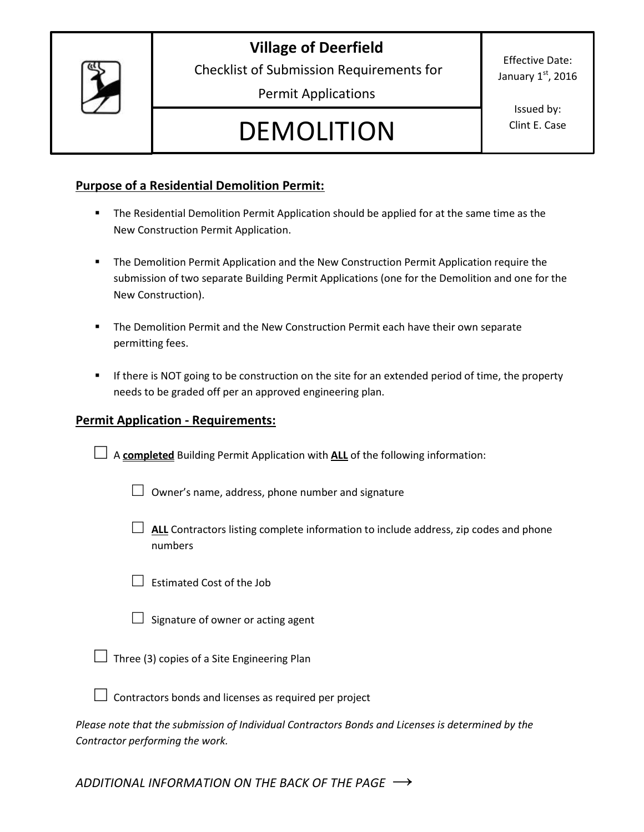



Checklist of Submission Requirements for

Effective Date: January  $1<sup>st</sup>$ , 2016

Permit Applications

## DEMOLITION

Issued by: Clint E. Case

## **Purpose of a Residential Demolition Permit:**

- **The Residential Demolition Permit Application should be applied for at the same time as the** New Construction Permit Application.
- **The Demolition Permit Application and the New Construction Permit Application require the** submission of two separate Building Permit Applications (one for the Demolition and one for the New Construction).
- The Demolition Permit and the New Construction Permit each have their own separate permitting fees.
- **If there is NOT going to be construction on the site for an extended period of time, the property** needs to be graded off per an approved engineering plan.

## **Permit Application - Requirements:**

| A completed Building Permit Application with ALL of the following information:                  |
|-------------------------------------------------------------------------------------------------|
| $\Box$ Owner's name, address, phone number and signature                                        |
| ALL Contractors listing complete information to include address, zip codes and phone<br>numbers |
| <b>Estimated Cost of the Job</b>                                                                |
| Signature of owner or acting agent                                                              |
| Three (3) copies of a Site Engineering Plan                                                     |
| Contractors bonds and licenses as required per project                                          |
| ease note that the submission of Individual Contractors Ronds and Lisenses is determined by the |

*Please note that the submission of Individual Contractors Bonds and Licenses is determined by the Contractor performing the work.* 

*ADDITIONAL INFORMATION ON THE BACK OF THE PAGE →*